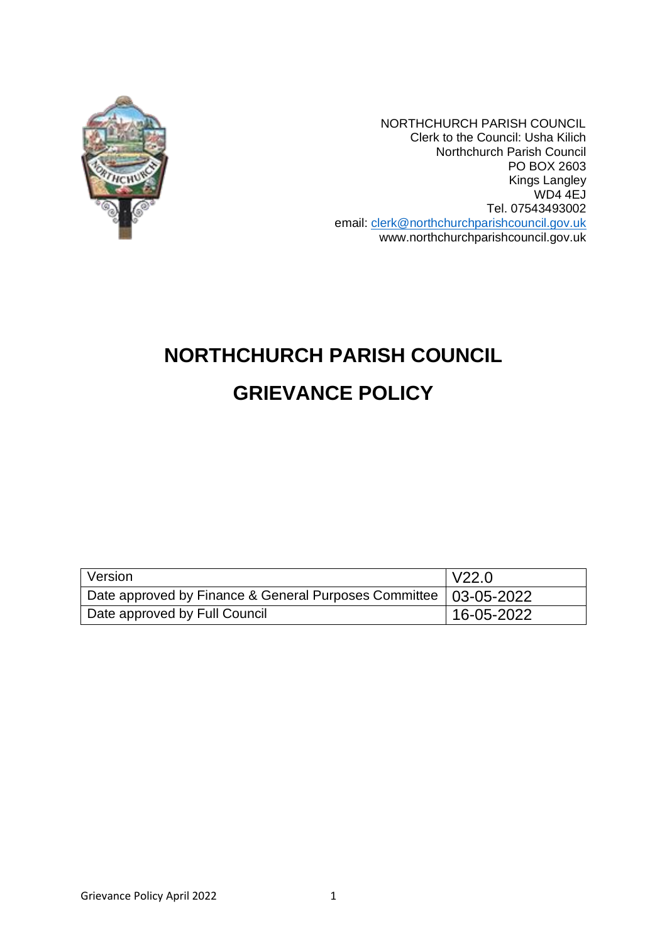

NORTHCHURCH PARISH COUNCIL Clerk to the Council: Usha Kilich Northchurch Parish Council PO BOX 2603 Kings Langley WD4 4EJ Tel. 07543493002 email: [clerk@northchurchparishcouncil.gov.uk](mailto:clerk@northchurchparishcouncil.gov.uk) www.northchurchparishcouncil.gov.uk

# **NORTHCHURCH PARISH COUNCIL GRIEVANCE POLICY**

| Version                                                            | V22.0          |
|--------------------------------------------------------------------|----------------|
| Date approved by Finance & General Purposes Committee   03-05-2022 |                |
| Date approved by Full Council                                      | $ 16-05-2022 $ |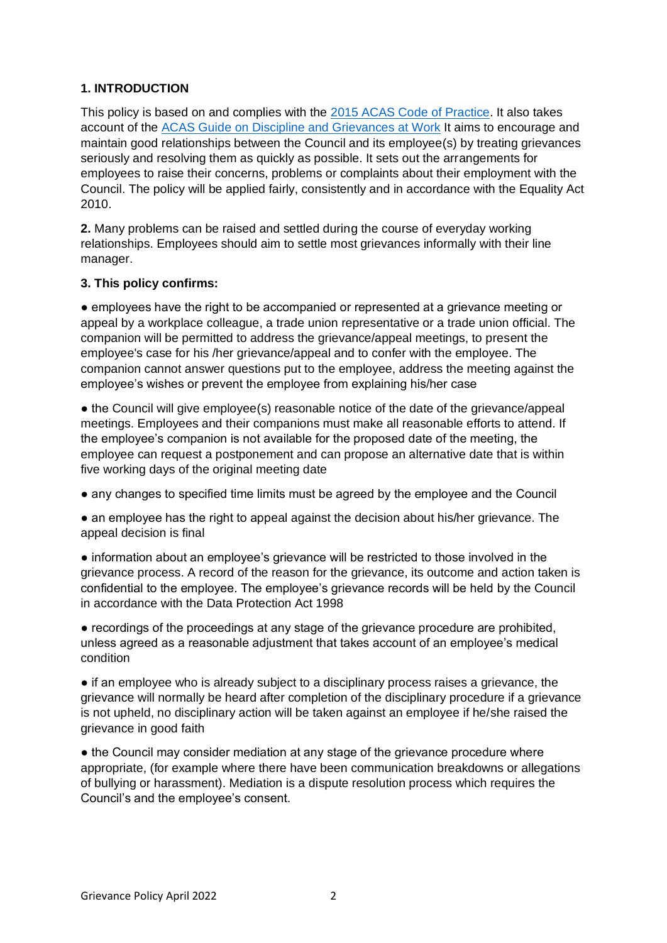## **1. INTRODUCTION**

This policy is based on and complies with the [2015 ACAS Code of Practice.](http://www.acas.org.uk/CHttpHandler.ashx?id=1047&p=0) It also takes account of the [ACAS Guide on Discipline and Grievances at Work](http://www.acas.org.uk/media/pdf/b/l/Discipline-and-grievances-Acasguide.pdf) It aims to encourage and maintain good relationships between the Council and its employee(s) by treating grievances seriously and resolving them as quickly as possible. It sets out the arrangements for employees to raise their concerns, problems or complaints about their employment with the Council. The policy will be applied fairly, consistently and in accordance with the Equality Act 2010.

**2.** Many problems can be raised and settled during the course of everyday working relationships. Employees should aim to settle most grievances informally with their line manager.

#### **3. This policy confirms:**

● employees have the right to be accompanied or represented at a grievance meeting or appeal by a workplace colleague, a trade union representative or a trade union official. The companion will be permitted to address the grievance/appeal meetings, to present the employee's case for his /her grievance/appeal and to confer with the employee. The companion cannot answer questions put to the employee, address the meeting against the employee's wishes or prevent the employee from explaining his/her case

• the Council will give employee(s) reasonable notice of the date of the grievance/appeal meetings. Employees and their companions must make all reasonable efforts to attend. If the employee's companion is not available for the proposed date of the meeting, the employee can request a postponement and can propose an alternative date that is within five working days of the original meeting date

● any changes to specified time limits must be agreed by the employee and the Council

• an employee has the right to appeal against the decision about his/her grievance. The appeal decision is final

• information about an employee's grievance will be restricted to those involved in the grievance process. A record of the reason for the grievance, its outcome and action taken is confidential to the employee. The employee's grievance records will be held by the Council in accordance with the Data Protection Act 1998

• recordings of the proceedings at any stage of the grievance procedure are prohibited, unless agreed as a reasonable adjustment that takes account of an employee's medical condition

• if an employee who is already subject to a disciplinary process raises a grievance, the grievance will normally be heard after completion of the disciplinary procedure if a grievance is not upheld, no disciplinary action will be taken against an employee if he/she raised the grievance in good faith

• the Council may consider mediation at any stage of the grievance procedure where appropriate, (for example where there have been communication breakdowns or allegations of bullying or harassment). Mediation is a dispute resolution process which requires the Council's and the employee's consent.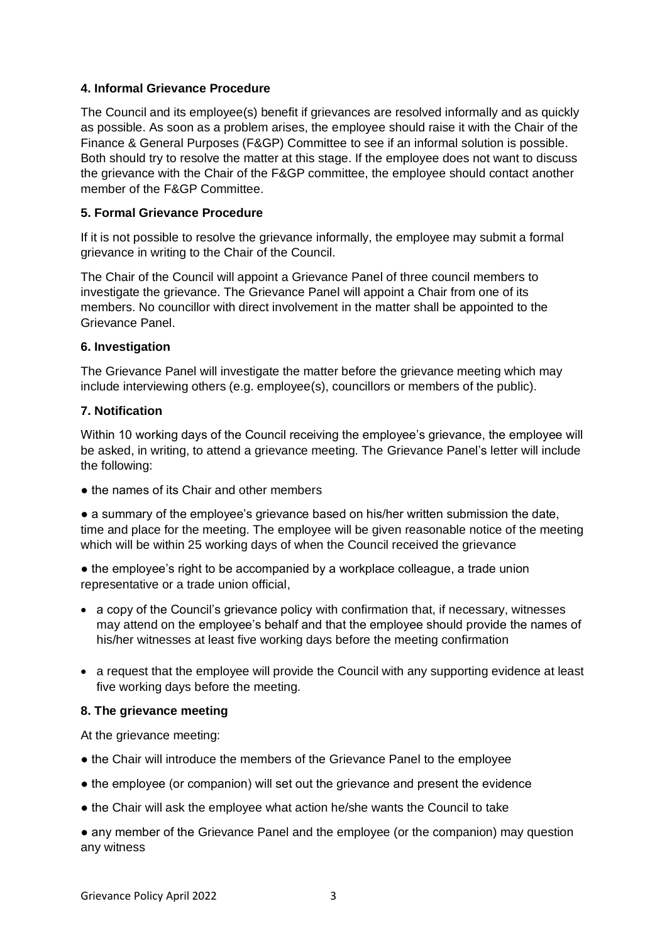### **4. Informal Grievance Procedure**

The Council and its employee(s) benefit if grievances are resolved informally and as quickly as possible. As soon as a problem arises, the employee should raise it with the Chair of the Finance & General Purposes (F&GP) Committee to see if an informal solution is possible. Both should try to resolve the matter at this stage. If the employee does not want to discuss the grievance with the Chair of the F&GP committee, the employee should contact another member of the F&GP Committee.

# **5. Formal Grievance Procedure**

If it is not possible to resolve the grievance informally, the employee may submit a formal grievance in writing to the Chair of the Council.

The Chair of the Council will appoint a Grievance Panel of three council members to investigate the grievance. The Grievance Panel will appoint a Chair from one of its members. No councillor with direct involvement in the matter shall be appointed to the Grievance Panel.

#### **6. Investigation**

The Grievance Panel will investigate the matter before the grievance meeting which may include interviewing others (e.g. employee(s), councillors or members of the public).

#### **7. Notification**

Within 10 working days of the Council receiving the employee's grievance, the employee will be asked, in writing, to attend a grievance meeting. The Grievance Panel's letter will include the following:

• the names of its Chair and other members

● a summary of the employee's grievance based on his/her written submission the date, time and place for the meeting. The employee will be given reasonable notice of the meeting which will be within 25 working days of when the Council received the grievance

• the employee's right to be accompanied by a workplace colleague, a trade union representative or a trade union official,

- a copy of the Council's grievance policy with confirmation that, if necessary, witnesses may attend on the employee's behalf and that the employee should provide the names of his/her witnesses at least five working days before the meeting confirmation
- a request that the employee will provide the Council with any supporting evidence at least five working days before the meeting.

#### **8. The grievance meeting**

At the grievance meeting:

- the Chair will introduce the members of the Grievance Panel to the employee
- the employee (or companion) will set out the grievance and present the evidence
- the Chair will ask the employee what action he/she wants the Council to take

• any member of the Grievance Panel and the employee (or the companion) may question any witness